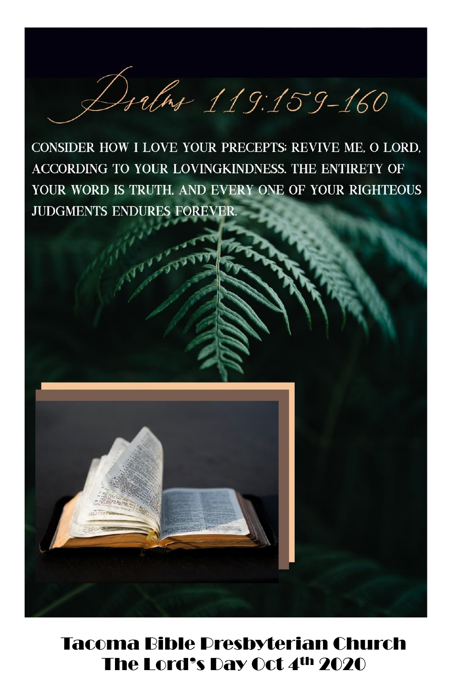Docher 119:159-160

CONSIDER HOW I LOVE YOUR PRECEPTS: REVIVE ME, O LORD. ACCORDING TO YOUR LOVINGKINDNESS. THE ENTIRETY OF YOUR WORD IS TRUTH, AND EVERY ONE OF YOUR RIGHTEOUS **JUDGMENTS ENDURES FOREVER.** 



# Tacoma Bible Presbyterian Church The Lord's Day Oct 4th 2020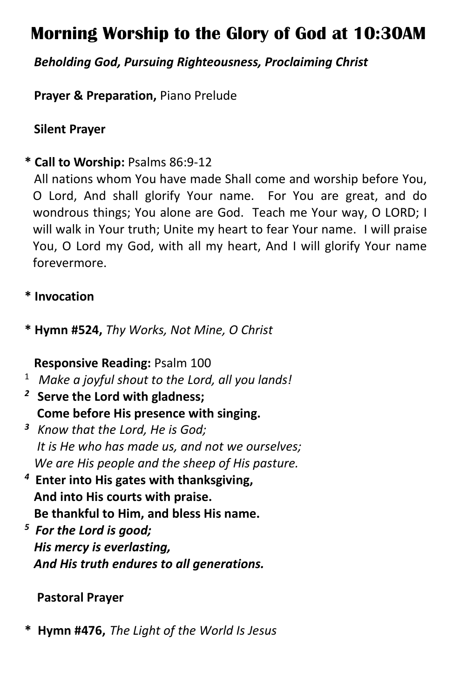# **Morning Worship to the Glory of God at 10:30AM**

## *Beholding God, Pursuing Righteousness, Proclaiming Christ*

 **Prayer & Preparation,** Piano Prelude

### **Silent Prayer**

### **\* Call to Worship:** Psalms 86:9-12

All nations whom You have made Shall come and worship before You, O Lord, And shall glorify Your name. For You are great, and do wondrous things; You alone are God. Teach me Your way, O LORD; I will walk in Your truth; Unite my heart to fear Your name. I will praise You, O Lord my God, with all my heart, And I will glorify Your name forevermore.

## **\* Invocation**

**\* Hymn #524,** *Thy Works, Not Mine, O Christ*

 **Responsive Reading:** Psalm 100

- 1 *Make a joyful shout to the Lord, all you lands!*
- *<sup>2</sup>***Serve the Lord with gladness; Come before His presence with singing.**
- *<sup>3</sup>Know that the Lord, He is God; It is He who has made us, and not we ourselves; We are His people and the sheep of His pasture.*
- *<sup>4</sup>***Enter into His gates with thanksgiving, And into His courts with praise. Be thankful to Him, and bless His name.**
- *<sup>5</sup>For the Lord is good; His mercy is everlasting, And His truth endures to all generations.*

### **Pastoral Prayer**

**\* Hymn #476,** *The Light of the World Is Jesus*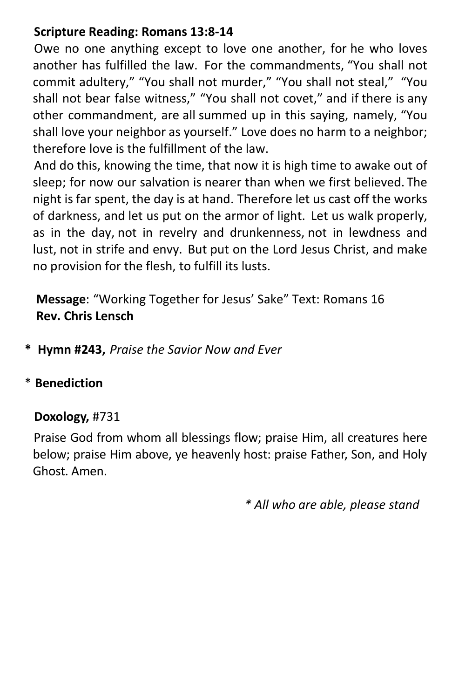### **Scripture Reading: Romans 13:8-14**

 Owe no one anything except to love one another, for he who loves another has fulfilled the law. For the commandments, "You shall not commit adultery," "You shall not murder," "You shall not steal," "You shall not bear false witness," "You shall not covet," and if there is any other commandment, are all summed up in this saying, namely, "You shall love your neighbor as yourself." Love does no harm to a neighbor; therefore love is the fulfillment of the law.

 And do this, knowing the time, that now it is high time to awake out of sleep; for now our salvation is nearer than when we first believed. The night is far spent, the day is at hand. Therefore let us cast off the works of darkness, and let us put on the armor of light. Let us walk properly, as in the day, not in revelry and drunkenness, not in lewdness and lust, not in strife and envy. But put on the Lord Jesus Christ, and make no provision for the flesh, to fulfill its lusts.

 **Message**: "Working Together for Jesus' Sake" Text: Romans 16 **Rev. Chris Lensch**

- **\* Hymn #243,** *Praise the Savior Now and Ever*
- \* **Benediction**

#### **Doxology,** #731

 Praise God from whom all blessings flow; praise Him, all creatures here below; praise Him above, ye heavenly host: praise Father, Son, and Holy Ghost. Amen.

*\* All who are able, please stand*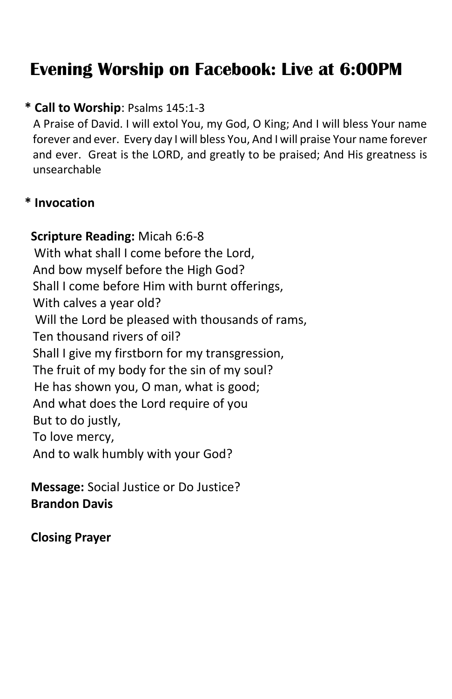# **Evening Worship on Facebook: Live at 6:00PM**

#### **\* Call to Worship**: Psalms 145:1-3

 A Praise of David. I will extol You, my God, O King; And I will bless Your name forever and ever. Every day I will bless You, And I will praise Your name forever and ever. Great is the LORD, and greatly to be praised; And His greatness is unsearchable

#### **\* Invocation**

 **Scripture Reading:** Micah 6:6-8 With what shall I come before the Lord, And bow myself before the High God? Shall I come before Him with burnt offerings, With calves a year old? Will the Lord be pleased with thousands of rams, Ten thousand rivers of oil? Shall I give my firstborn for my transgression, The fruit of my body for the sin of my soul? He has shown you, O man, what is good; And what does the Lord require of you But to do justly, To love mercy, And to walk humbly with your God?

 **Message:** Social Justice or Do Justice?  **Brandon Davis**

**Closing Prayer**